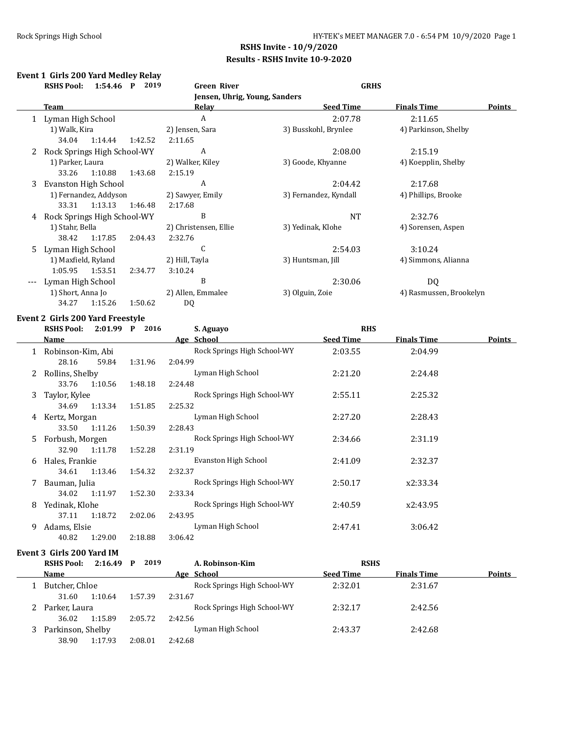#### **Event 1 Girls 200 Yard Medley Relay RSHS Pool: 1:54.46 P 2019 Green River GRHS**

|    |                             |         | Jensen, Uhrig, Young, Sanders |                       |                         |               |
|----|-----------------------------|---------|-------------------------------|-----------------------|-------------------------|---------------|
|    | Team                        |         | <u>Relav</u>                  | <b>Seed Time</b>      | <b>Finals Time</b>      | <b>Points</b> |
| 1  | Lyman High School           |         | A                             | 2:07.78               | 2:11.65                 |               |
|    | 1) Walk, Kira               |         | 2) Jensen, Sara               | 3) Busskohl, Brynlee  | 4) Parkinson, Shelby    |               |
|    | 34.04<br>1:14.44            | 1:42.52 | 2:11.65                       |                       |                         |               |
| 2  | Rock Springs High School-WY |         | A                             | 2:08.00               | 2:15.19                 |               |
|    | 1) Parker, Laura            |         | 2) Walker, Kiley              | 3) Goode, Khyanne     | 4) Koepplin, Shelby     |               |
|    | 33.26<br>1:10.88            | 1:43.68 | 2:15.19                       |                       |                         |               |
| 3  | Evanston High School        |         | A                             | 2:04.42               | 2:17.68                 |               |
|    | 1) Fernandez, Addyson       |         | 2) Sawyer, Emily              | 3) Fernandez, Kyndall | 4) Phillips, Brooke     |               |
|    | 1:13.13<br>33.31            | 1:46.48 | 2:17.68                       |                       |                         |               |
| 4  | Rock Springs High School-WY |         | B                             | <b>NT</b>             | 2:32.76                 |               |
|    | 1) Stahr, Bella             |         | 2) Christensen, Ellie         | 3) Yedinak, Klohe     | 4) Sorensen, Aspen      |               |
|    | 1:17.85<br>38.42            | 2:04.43 | 2:32.76                       |                       |                         |               |
| 5. | Lyman High School           |         | C                             | 2:54.03               | 3:10.24                 |               |
|    | 1) Maxfield, Ryland         |         | 2) Hill, Tayla                | 3) Huntsman, Jill     | 4) Simmons, Alianna     |               |
|    | 1:05.95<br>1:53.51          | 2:34.77 | 3:10.24                       |                       |                         |               |
|    | Lyman High School           |         | B                             | 2:30.06               | DQ                      |               |
|    | 1) Short, Anna Jo           |         | 2) Allen, Emmalee             | 3) Olguin, Zoie       | 4) Rasmussen, Brookelyn |               |
|    | 34.27<br>1:15.26<br>1:50.62 |         | DQ                            |                       |                         |               |
|    |                             |         |                               |                       |                         |               |

#### **Event 2 Girls 200 Yard Freestyle**

|    | <b>RSHS Pool:</b>   | 2016<br>$2:01.99$ P | S. Aguayo                   | <b>RHS</b>       |                    |               |
|----|---------------------|---------------------|-----------------------------|------------------|--------------------|---------------|
|    | <b>Name</b>         |                     | Age School                  | <b>Seed Time</b> | <b>Finals Time</b> | <b>Points</b> |
|    | 1 Robinson-Kim, Abi |                     | Rock Springs High School-WY | 2:03.55          | 2:04.99            |               |
|    | 28.16               | 1:31.96<br>59.84    | 2:04.99                     |                  |                    |               |
| 2  | Rollins, Shelby     |                     | Lyman High School           | 2:21.20          | 2:24.48            |               |
|    | 33.76<br>1:10.56    | 1:48.18             | 2:24.48                     |                  |                    |               |
| 3  | Taylor, Kylee       |                     | Rock Springs High School-WY | 2:55.11          | 2:25.32            |               |
|    | 1:13.34<br>34.69    | 1:51.85             | 2:25.32                     |                  |                    |               |
| 4  | Kertz, Morgan       |                     | Lyman High School           | 2:27.20          | 2:28.43            |               |
|    | 33.50<br>1:11.26    | 1:50.39             | 2:28.43                     |                  |                    |               |
| 5. | Forbush, Morgen     |                     | Rock Springs High School-WY | 2:34.66          | 2:31.19            |               |
|    | 32.90<br>1:11.78    | 1:52.28             | 2:31.19                     |                  |                    |               |
| 6  | Hales, Frankie      |                     | Evanston High School        | 2:41.09          | 2:32.37            |               |
|    | 1:13.46<br>34.61    | 1:54.32             | 2:32.37                     |                  |                    |               |
| 7  | Bauman, Julia       |                     | Rock Springs High School-WY | 2:50.17          | x2:33.34           |               |
|    | 34.02<br>1:11.97    | 1:52.30             | 2:33.34                     |                  |                    |               |
| 8  | Yedinak, Klohe      |                     | Rock Springs High School-WY | 2:40.59          | x2:43.95           |               |
|    | 1:18.72<br>37.11    | 2:02.06             | 2:43.95                     |                  |                    |               |
| 9  | Adams, Elsie        |                     | Lyman High School           | 2:47.41          | 3:06.42            |               |
|    | 1:29.00<br>40.82    | 2:18.88             | 3:06.42                     |                  |                    |               |

#### **Event 3 Girls 200 Yard IM**

| <b>RSHS Pool:</b> | $2:16.49$ P | 2019    | A. Robinson-Kim             | <b>RSHS</b>      |                    |               |
|-------------------|-------------|---------|-----------------------------|------------------|--------------------|---------------|
| <b>Name</b>       |             |         | Age School                  | <b>Seed Time</b> | <b>Finals Time</b> | <b>Points</b> |
| Butcher, Chloe    |             |         | Rock Springs High School-WY | 2:32.01          | 2:31.67            |               |
| 31.60             | 1:10.64     | 1:57.39 | 2:31.67                     |                  |                    |               |
| Parker, Laura     |             |         | Rock Springs High School-WY | 2:32.17          | 2:42.56            |               |
| 36.02             | 1:15.89     | 2:05.72 | 2:42.56                     |                  |                    |               |
| Parkinson, Shelby |             |         | Lyman High School           | 2:43.37          | 2:42.68            |               |
| 38.90             | 1:17.93     | 2:08.01 | 2:42.68                     |                  |                    |               |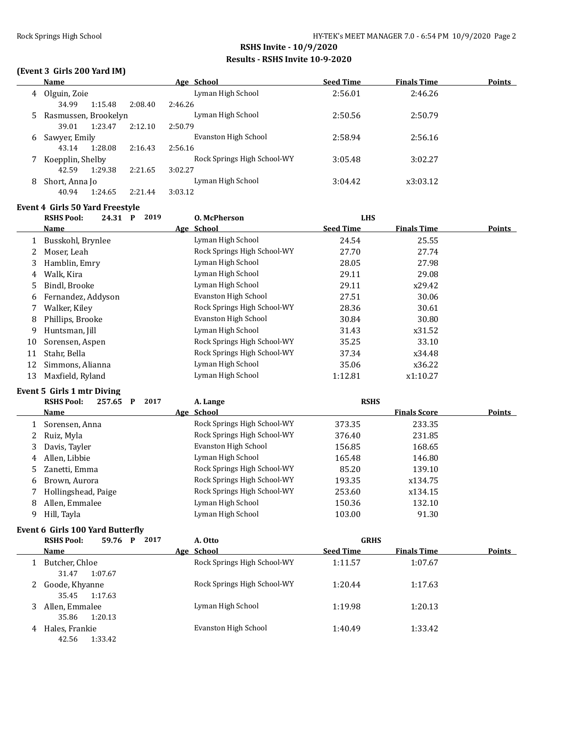$\overline{\phantom{0}}$ 

# **RSHS Invite - 10/9/2020 Results - RSHS Invite 10-9-2020**

## **(Event 3 Girls 200 Yard IM)**

|   | Name                 |         |         | Age School                  | <b>Seed Time</b> | <b>Finals Time</b> | <b>Points</b> |
|---|----------------------|---------|---------|-----------------------------|------------------|--------------------|---------------|
| 4 | Olguin, Zoie         |         |         | Lyman High School           | 2:56.01          | 2:46.26            |               |
|   | 34.99                | 1:15.48 | 2:08.40 | 2:46.26                     |                  |                    |               |
| 5 | Rasmussen, Brookelyn |         |         | Lyman High School           | 2:50.56          | 2:50.79            |               |
|   | 39.01                | 1:23.47 | 2:12.10 | 2:50.79                     |                  |                    |               |
| 6 | Sawyer, Emily        |         |         | Evanston High School        | 2:58.94          | 2:56.16            |               |
|   | 43.14                | 1:28.08 | 2:16.43 | 2:56.16                     |                  |                    |               |
|   | Koepplin, Shelby     |         |         | Rock Springs High School-WY | 3:05.48          | 3:02.27            |               |
|   | 42.59                | 1:29.38 | 2:21.65 | 3:02.27                     |                  |                    |               |
| 8 | Short, Anna Jo       |         |         | Lyman High School           | 3:04.42          | x3:03.12           |               |
|   | 40.94                | 1:24.65 | 2:21.44 | 3:03.12                     |                  |                    |               |

#### **Event 4 Girls 50 Yard Freestyle**

|    | <b>RSHS Pool:</b><br>24.31 | 2019<br>$\mathbf{P}$ | <b>O. McPherson</b>         | <b>LHS</b>       |                    |               |
|----|----------------------------|----------------------|-----------------------------|------------------|--------------------|---------------|
|    | <b>Name</b>                |                      | Age School                  | <b>Seed Time</b> | <b>Finals Time</b> | <b>Points</b> |
|    | Busskohl, Brynlee          |                      | Lyman High School           | 24.54            | 25.55              |               |
| 2  | Moser, Leah                |                      | Rock Springs High School-WY | 27.70            | 27.74              |               |
| 3  | Hamblin, Emry              |                      | Lyman High School           | 28.05            | 27.98              |               |
| 4  | Walk, Kira                 |                      | Lyman High School           | 29.11            | 29.08              |               |
| 5. | Bindl, Brooke              |                      | Lyman High School           | 29.11            | x29.42             |               |
| 6  | Fernandez, Addyson         |                      | Evanston High School        | 27.51            | 30.06              |               |
|    | Walker, Kiley              |                      | Rock Springs High School-WY | 28.36            | 30.61              |               |
| 8  | Phillips, Brooke           |                      | Evanston High School        | 30.84            | 30.80              |               |
| 9  | Huntsman, Jill             |                      | Lyman High School           | 31.43            | x31.52             |               |
| 10 | Sorensen, Aspen            |                      | Rock Springs High School-WY | 35.25            | 33.10              |               |
| 11 | Stahr, Bella               |                      | Rock Springs High School-WY | 37.34            | x34.48             |               |
| 12 | Simmons, Alianna           |                      | Lyman High School           | 35.06            | x36.22             |               |
| 13 | Maxfield, Ryland           |                      | Lyman High School           | 1:12.81          | x1:10.27           |               |

### **Event 5 Girls 1 mtr Diving**

|   | 2017<br><b>RSHS Pool:</b><br>257.65<br>P | A. Lange                    | <b>RSHS</b> |                     |        |
|---|------------------------------------------|-----------------------------|-------------|---------------------|--------|
|   | Name                                     | Age School                  |             | <b>Finals Score</b> | Points |
|   | Sorensen, Anna                           | Rock Springs High School-WY | 373.35      | 233.35              |        |
|   | 2 Ruiz, Myla                             | Rock Springs High School-WY | 376.40      | 231.85              |        |
| 3 | Davis, Tayler                            | Evanston High School        | 156.85      | 168.65              |        |
| 4 | Allen, Libbie                            | Lyman High School           | 165.48      | 146.80              |        |
|   | 5 Zanetti, Emma                          | Rock Springs High School-WY | 85.20       | 139.10              |        |
| 6 | Brown, Aurora                            | Rock Springs High School-WY | 193.35      | x134.75             |        |
|   | Hollingshead, Paige                      | Rock Springs High School-WY | 253.60      | x134.15             |        |
| 8 | Allen, Emmalee                           | Lyman High School           | 150.36      | 132.10              |        |
| 9 | Hill, Tayla                              | Lyman High School           | 103.00      | 91.30               |        |

### **Event 6 Girls 100 Yard Butterfly**

|   | 2017<br><b>RSHS Pool:</b><br>59.76<br>P | A. Otto                     | <b>GRHS</b>      |                    |               |
|---|-----------------------------------------|-----------------------------|------------------|--------------------|---------------|
|   | <b>Name</b>                             | Age School                  | <b>Seed Time</b> | <b>Finals Time</b> | <b>Points</b> |
|   | Butcher, Chloe<br>1:07.67<br>31.47      | Rock Springs High School-WY | 1:11.57          | 1:07.67            |               |
|   | Goode, Khyanne<br>1:17.63<br>35.45      | Rock Springs High School-WY | 1:20.44          | 1:17.63            |               |
|   | Allen, Emmalee<br>1:20.13<br>35.86      | Lyman High School           | 1:19.98          | 1:20.13            |               |
| 4 | Hales, Frankie<br>1:33.42<br>42.56      | Evanston High School        | 1:40.49          | 1:33.42            |               |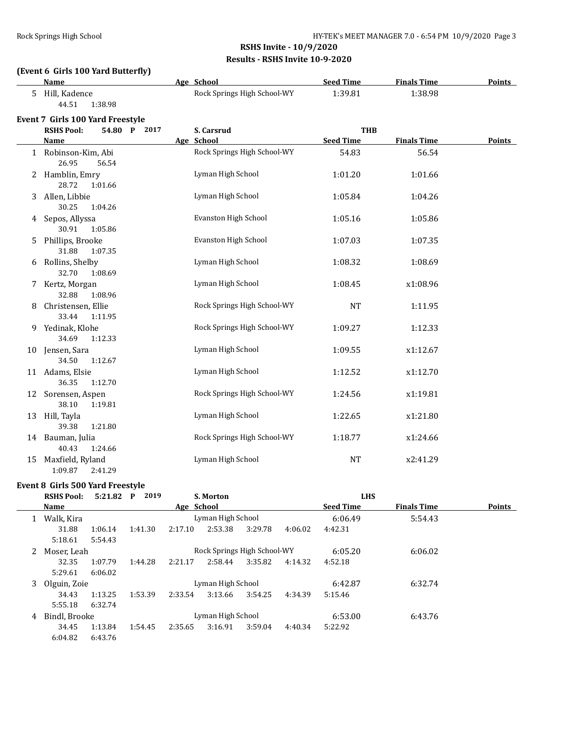## **(Event 6 Girls 100 Yard Butterfly)**

|    | Name                                   | Age School                  | <b>Seed Time</b> | <b>Finals Time</b> | <b>Points</b> |
|----|----------------------------------------|-----------------------------|------------------|--------------------|---------------|
|    | 5 Hill, Kadence<br>44.51<br>1:38.98    | Rock Springs High School-WY | 1:39.81          | 1:38.98            |               |
|    | Event 7 Girls 100 Yard Freestyle       |                             |                  |                    |               |
|    | <b>RSHS Pool:</b><br>54.80 P<br>2017   | S. Carsrud                  | <b>THB</b>       |                    |               |
|    | <b>Name</b>                            | Age School                  | <b>Seed Time</b> | <b>Finals Time</b> | <b>Points</b> |
|    | 1 Robinson-Kim, Abi<br>26.95<br>56.54  | Rock Springs High School-WY | 54.83            | 56.54              |               |
|    | 2 Hamblin, Emry<br>28.72<br>1:01.66    | Lyman High School           | 1:01.20          | 1:01.66            |               |
| 3  | Allen, Libbie<br>30.25<br>1:04.26      | Lyman High School           | 1:05.84          | 1:04.26            |               |
| 4  | Sepos, Allyssa<br>30.91<br>1:05.86     | Evanston High School        | 1:05.16          | 1:05.86            |               |
| 5  | Phillips, Brooke<br>31.88<br>1:07.35   | Evanston High School        | 1:07.03          | 1:07.35            |               |
|    | 6 Rollins, Shelby<br>32.70<br>1:08.69  | Lyman High School           | 1:08.32          | 1:08.69            |               |
|    | 7 Kertz, Morgan<br>32.88<br>1:08.96    | Lyman High School           | 1:08.45          | x1:08.96           |               |
| 8  | Christensen, Ellie<br>33.44<br>1:11.95 | Rock Springs High School-WY | <b>NT</b>        | 1:11.95            |               |
| 9. | Yedinak, Klohe<br>34.69<br>1:12.33     | Rock Springs High School-WY | 1:09.27          | 1:12.33            |               |
| 10 | Jensen, Sara<br>34.50<br>1:12.67       | Lyman High School           | 1:09.55          | x1:12.67           |               |
|    | 11 Adams, Elsie<br>36.35<br>1:12.70    | Lyman High School           | 1:12.52          | x1:12.70           |               |
| 12 | Sorensen, Aspen<br>38.10<br>1:19.81    | Rock Springs High School-WY | 1:24.56          | x1:19.81           |               |
|    | 13 Hill, Tayla<br>39.38<br>1:21.80     | Lyman High School           | 1:22.65          | x1:21.80           |               |
|    | 14 Bauman, Julia<br>40.43<br>1:24.66   | Rock Springs High School-WY | 1:18.77          | x1:24.66           |               |
| 15 | Maxfield, Ryland<br>1:09.87<br>2:41.29 | Lyman High School           | <b>NT</b>        | x2:41.29           |               |

### **Event 8 Girls 500 Yard Freestyle**

|   | <b>RSHS Pool:</b> | 5:21.82           | 2019<br>P |                   | S. Morton         |                             |         | <b>LHS</b>       |                    |               |
|---|-------------------|-------------------|-----------|-------------------|-------------------|-----------------------------|---------|------------------|--------------------|---------------|
|   | Name              |                   |           | Age School        |                   |                             |         | <b>Seed Time</b> | <b>Finals Time</b> | <b>Points</b> |
|   | Walk, Kira        |                   |           |                   | Lyman High School |                             |         | 6:06.49          | 5:54.43            |               |
|   | 31.88             | 1:06.14           | 1:41.30   | 2:17.10           | 2:53.38           | 3:29.78                     | 4:06.02 | 4:42.31          |                    |               |
|   | 5:18.61           | 5:54.43           |           |                   |                   |                             |         |                  |                    |               |
| 2 | Moser, Leah       |                   |           |                   |                   | Rock Springs High School-WY |         | 6:05.20          | 6:06.02            |               |
|   | 32.35             | 1:07.79           | 1:44.28   | 2:21.17           | 2:58.44           | 3:35.82                     | 4:14.32 | 4:52.18          |                    |               |
|   | 5:29.61           | 6:06.02           |           |                   |                   |                             |         |                  |                    |               |
| 3 | Olguin, Zoie      | Lyman High School |           |                   |                   |                             | 6:42.87 | 6:32.74          |                    |               |
|   | 34.43             | 1:13.25           | 1:53.39   | 2:33.54           | 3:13.66           | 3:54.25                     | 4:34.39 | 5:15.46          |                    |               |
|   | 5:55.18           | 6:32.74           |           |                   |                   |                             |         |                  |                    |               |
| 4 | Bindl. Brooke     |                   |           | Lyman High School |                   |                             |         | 6:53.00          | 6:43.76            |               |
|   | 34.45             | 1:13.84           | 1:54.45   | 2:35.65           | 3:16.91           | 3:59.04                     | 4:40.34 | 5:22.92          |                    |               |
|   | 6:04.82           | 6:43.76           |           |                   |                   |                             |         |                  |                    |               |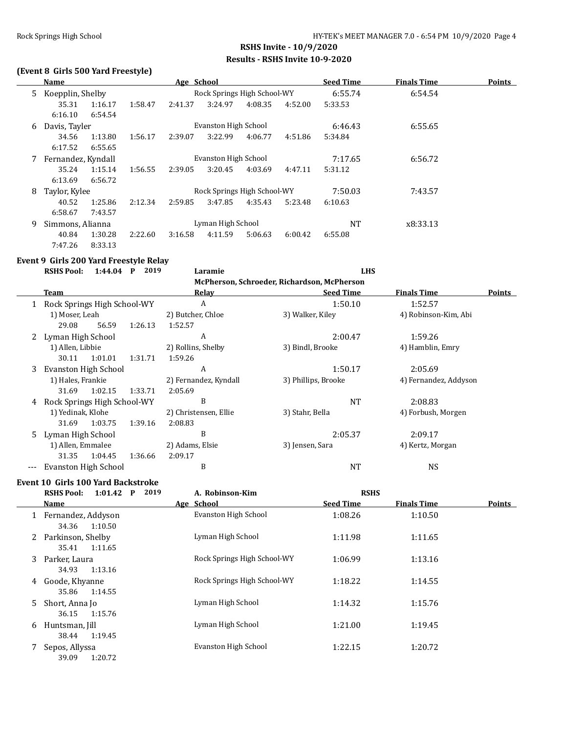### **(Event 8 Girls 500 Yard Freestyle)**

|    | Name               |               |         | Age School                  |                      |         |         | <b>Seed Time</b> | <b>Finals Time</b> | <b>Points</b> |
|----|--------------------|---------------|---------|-----------------------------|----------------------|---------|---------|------------------|--------------------|---------------|
| 5. | Koepplin, Shelby   |               |         | Rock Springs High School-WY |                      |         |         |                  | 6:54.54            |               |
|    | 35.31              | 1:16.17       | 1:58.47 | 2:41.37                     | 3:24.97              | 4:08.35 | 4:52.00 | 5:33.53          |                    |               |
|    | 6:16.10            | 6:54.54       |         |                             |                      |         |         |                  |                    |               |
| 6  | Davis, Tayler      |               |         |                             | Evanston High School |         |         | 6:46.43          | 6:55.65            |               |
|    | 34.56              | 1:13.80       | 1:56.17 | 2:39.07                     | 3:22.99              | 4:06.77 | 4:51.86 | 5:34.84          |                    |               |
|    | 6:17.52            | 6:55.65       |         |                             |                      |         |         |                  |                    |               |
|    | Fernandez, Kyndall |               |         | Evanston High School        |                      |         | 7:17.65 | 6:56.72          |                    |               |
|    | 35.24              | 1:15.14       | 1:56.55 | 2:39.05                     | 3:20.45              | 4:03.69 | 4:47.11 | 5:31.12          |                    |               |
|    | 6:13.69            | 6:56.72       |         |                             |                      |         |         |                  |                    |               |
| 8  |                    | Taylor, Kylee |         | Rock Springs High School-WY |                      |         |         | 7:50.03          | 7:43.57            |               |
|    | 40.52              | 1:25.86       | 2:12.34 | 2:59.85                     | 3:47.85              | 4:35.43 | 5:23.48 | 6:10.63          |                    |               |
|    | 6:58.67            | 7:43.57       |         |                             |                      |         |         |                  |                    |               |
| 9  | Simmons, Alianna   |               |         | Lyman High School           |                      |         |         | <b>NT</b>        | x8:33.13           |               |
|    | 40.84              | 1:30.28       | 2:22.60 | 3:16.58                     | 4:11.59              | 5:06.63 | 6:00.42 | 6:55.08          |                    |               |
|    | 7:47.26            | 8:33.13       |         |                             |                      |         |         |                  |                    |               |

### **Event 9 Girls 200 Yard Freestyle Relay**

|    | <b>RSHS Pool:</b>             | 1:44.04 | P | 2019               | Laramie                              | <b>LHS</b>                                   |                      |        |
|----|-------------------------------|---------|---|--------------------|--------------------------------------|----------------------------------------------|----------------------|--------|
|    |                               |         |   |                    |                                      | McPherson, Schroeder, Richardson, McPherson  |                      |        |
|    | Team                          |         |   |                    | <b>Relav</b>                         | <b>Seed Time</b>                             | <b>Finals Time</b>   | Points |
|    | 1 Rock Springs High School-WY |         |   |                    | A                                    | 1:50.10                                      | 1:52.57              |        |
|    | 1) Moser, Leah                |         |   |                    | 2) Butcher, Chloe                    | 3) Walker, Kiley                             | 4) Robinson-Kim, Abi |        |
|    | 29.08                         | 56.59   |   | 1:26.13            | 1:52.57                              |                                              |                      |        |
| 2  | Lyman High School             |         |   |                    | A                                    | 2:00.47                                      | 1:59.26              |        |
|    | 1) Allen, Libbie              |         |   | 2) Rollins, Shelby | 3) Bindl, Brooke<br>4) Hamblin, Emry |                                              |                      |        |
|    | 30.11                         | 1:01.01 |   | 1:31.71            | 1:59.26                              |                                              |                      |        |
| 3. | Evanston High School          |         |   |                    | A                                    | 1:50.17<br>2:05.69                           |                      |        |
|    | 1) Hales, Frankie             |         |   |                    | 2) Fernandez, Kyndall                | 3) Phillips, Brooke<br>4) Fernandez, Addyson |                      |        |
|    | 31.69                         | 1:02.15 |   | 1:33.71            | 2:05.69                              |                                              |                      |        |
| 4  | Rock Springs High School-WY   |         |   |                    | B                                    | <b>NT</b>                                    | 2:08.83              |        |
|    | 1) Yedinak, Klohe             |         |   |                    | 2) Christensen, Ellie                | 3) Stahr, Bella                              | 4) Forbush, Morgen   |        |
|    | 31.69                         | 1:03.75 |   | 1:39.16            | 2:08.83                              |                                              |                      |        |
| 5. | Lyman High School             |         |   |                    | B                                    | 2:05.37                                      | 2:09.17              |        |
|    | 1) Allen, Emmalee             |         |   |                    | 2) Adams, Elsie                      | 3) Jensen, Sara                              | 4) Kertz, Morgan     |        |
|    | 31.35                         | 1:04.45 |   | 1:36.66            | 2:09.17                              |                                              |                      |        |

--- Evanston High School B NT NS

# **Event 10 Girls 100 Yard Backstroke**

|    | <b>RSHS Pool:</b><br>$1:01.42$ P            | 2019 | A. Robinson-Kim             | <b>RSHS</b>      |                    |        |
|----|---------------------------------------------|------|-----------------------------|------------------|--------------------|--------|
|    | Name                                        |      | Age School                  | <b>Seed Time</b> | <b>Finals Time</b> | Points |
|    | Fernandez, Addyson<br>34.36<br>1:10.50      |      | Evanston High School        | 1:08.26          | 1:10.50            |        |
| 2  | Parkinson, Shelby<br>1:11.65<br>35.41       |      | Lyman High School           | 1:11.98          | 1:11.65            |        |
| 3  | Parker, Laura<br>1:13.16<br>34.93           |      | Rock Springs High School-WY | 1:06.99          | 1:13.16            |        |
| 4  | Goode, Khyanne<br>35.86<br>1:14.55          |      | Rock Springs High School-WY | 1:18.22          | 1:14.55            |        |
| 5. | Short, Anna Jo<br>1:15.76<br>36.15          |      | Lyman High School           | 1:14.32          | 1:15.76            |        |
| 6  | Huntsman, Jill<br>1:19.45                   |      | Lyman High School           | 1:21.00          | 1:19.45            |        |
|    | 38.44<br>Sepos, Allyssa<br>1:20.72<br>39.09 |      | Evanston High School        | 1:22.15          | 1:20.72            |        |